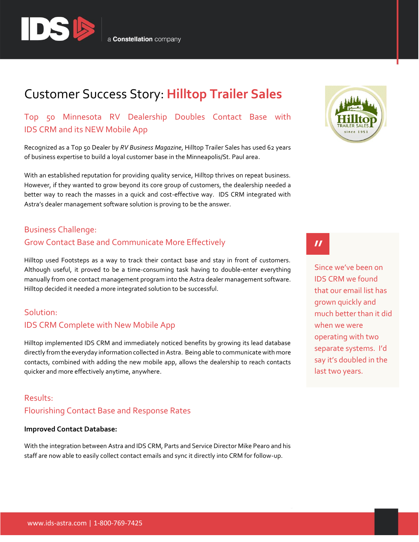

# Customer Success Story: **Hilltop Trailer Sales**

Top 50 Minnesota RV Dealership Doubles Contact Base with IDS CRM and its NEW Mobile App

Recognized as a Top 50 Dealer by *RV Business Magazine*, Hilltop Trailer Sales has used 62 years of business expertise to build a loyal customer base in the Minneapolis/St. Paul area.

With an established reputation for providing quality service, Hilltop thrives on repeat business. However, if they wanted to grow beyond its core group of customers, the dealership needed a better way to reach the masses in a quick and cost-effective way. IDS CRM integrated with Astra's dealer management software solution is proving to be the answer.

### Business Challenge:

### Grow Contact Base and Communicate More Effectively

Hilltop used Footsteps as a way to track their contact base and stay in front of customers. Although useful, it proved to be a time-consuming task having to double-enter everything manually from one contact management program into the Astra dealer management software. Hilltop decided it needed a more integrated solution to be successful.

### Solution: IDS CRM Complete with New Mobile App

Hilltop implemented IDS CRM and immediately noticed benefits by growing its lead database directly from the everyday information collected in Astra. Being able to communicate with more contacts, combined with adding the new mobile app, allows the dealership to reach contacts quicker and more effectively anytime, anywhere.

## Results: Flourishing Contact Base and Response Rates

### **Improved Contact Database:**

With the integration between Astra and IDS CRM, Parts and Service Director Mike Pearo and his staff are now able to easily collect contact emails and sync it directly into CRM for follow-up.



 $\boldsymbol{\prime\prime}$ 

Since we've been on IDS CRM we found that our email list has grown quickly and much better than it did when we were operating with two separate systems. I'd say it's doubled in the last two years.